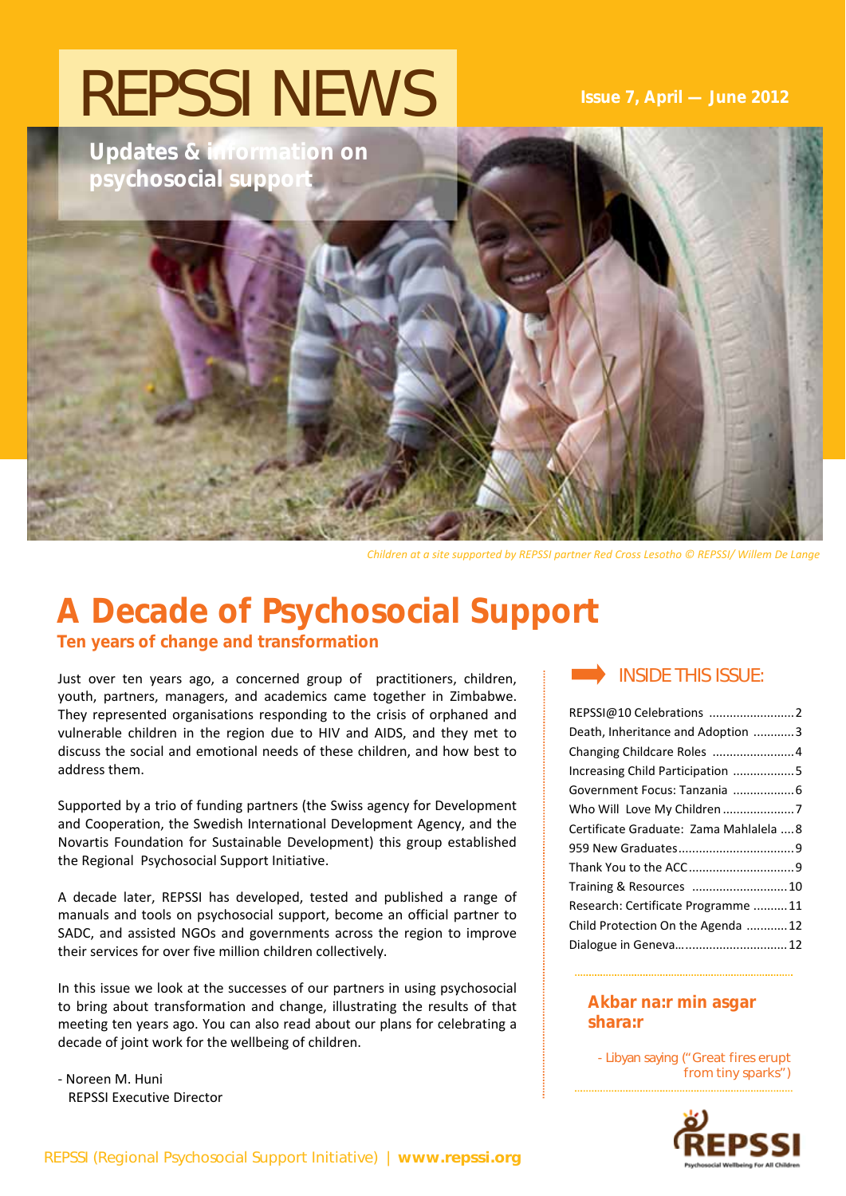# REPSSI NEWS **Issue 7, April — June 2012**

**Updates & information on psychosocial supports** 

*Children at a site supported by REPSSI partner Red Cross Lesotho © REPSSI/ Willem De Lange*

# **A Decade of Psychosocial Support**

**Ten years of change and transformation**

Just over ten years ago, a concerned group of practitioners, children, INSIDE THIS ISSUE: youth, partners, managers, and academics came together in Zimbabwe. They represented organisations responding to the crisis of orphaned and vulnerable children in the region due to HIV and AIDS, and they met to discuss the social and emotional needs of these children, and how best to address them.

Supported by a trio of funding partners (the Swiss agency for Development and Cooperation, the Swedish International Development Agency, and the Novartis Foundation for Sustainable Development) this group established the Regional Psychosocial Support Initiative.

A decade later, REPSSI has developed, tested and published a range of manuals and tools on psychosocial support, become an official partner to SADC, and assisted NGOs and governments across the region to improve their services for over five million children collectively.

In this issue we look at the successes of our partners in using psychosocial to bring about transformation and change, illustrating the results of that meeting ten years ago. You can also read about our plans for celebrating a decade of joint work for the wellbeing of children.

‐ Noreen M. Huni REPSSI Executive Director

| REPSSI@10 Celebrations 2                |  |
|-----------------------------------------|--|
| Death, Inheritance and Adoption 3       |  |
| Changing Childcare Roles  4             |  |
| Increasing Child Participation 5        |  |
|                                         |  |
|                                         |  |
| Certificate Graduate: Zama Mahlalela  8 |  |
|                                         |  |
|                                         |  |
| Training & Resources  10                |  |
| Research: Certificate Programme11       |  |
| Child Protection On the Agenda 12       |  |
| Dialogue in Geneva 12                   |  |

### **Akbar na:r min asgar shara:r**

- Libyan saying ("Great fires erupt from tiny sparks")

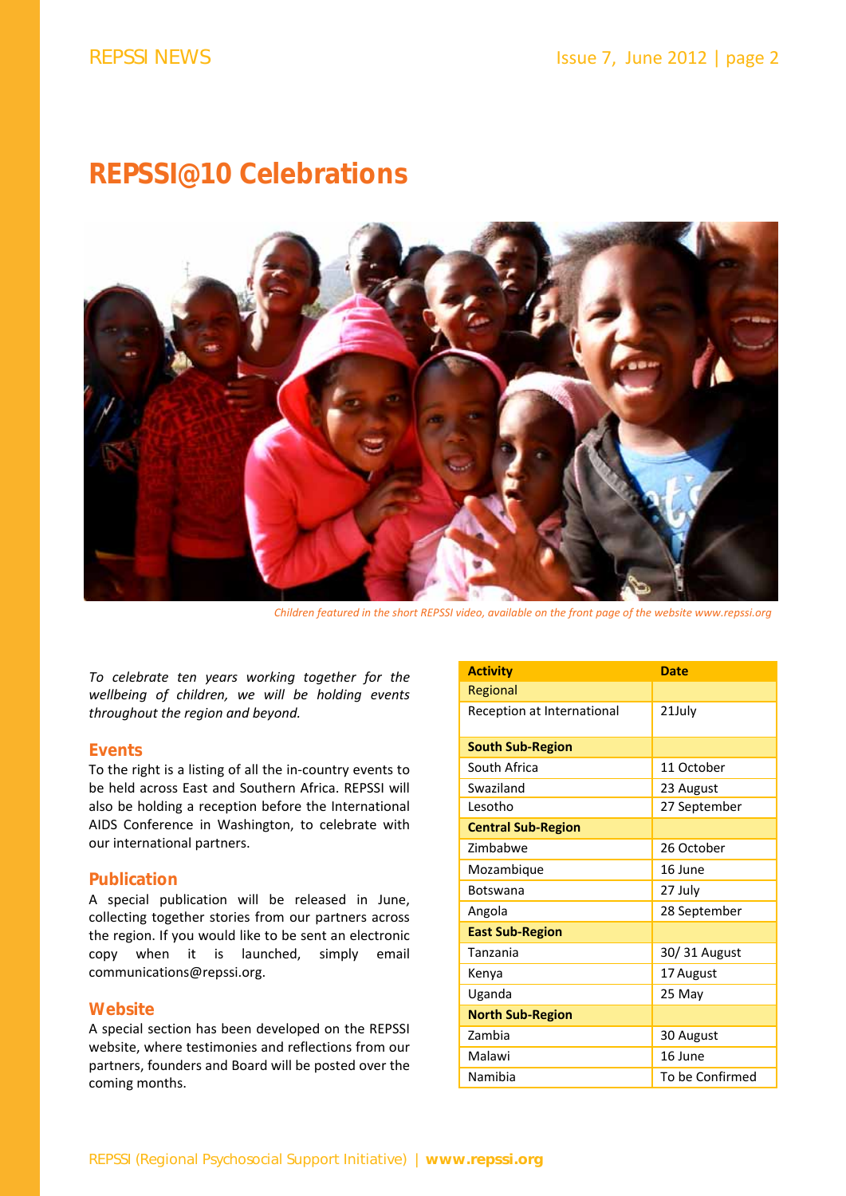### **REPSSI@10 Celebrations**



*Children featured in the short REPSSI video, available on the front page of the website www.repssi.org*

*To celebrate ten years working together for the wellbeing of children, we will be holding events throughout the region and beyond.* 

#### **Events**

To the right is a listing of all the in‐country events to be held across East and Southern Africa. REPSSI will also be holding a reception before the International AIDS Conference in Washington, to celebrate with our international partners.

#### **Publication**

A special publication will be released in June, collecting together stories from our partners across the region. If you would like to be sent an electronic copy when it is launched, simply email communications@repssi.org.

#### **Website**

A special section has been developed on the REPSSI website, where testimonies and reflections from our partners, founders and Board will be posted over the coming months.

| <b>Activity</b>            | <b>Date</b>     |
|----------------------------|-----------------|
| Regional                   |                 |
| Reception at International | 21July          |
| <b>South Sub-Region</b>    |                 |
| South Africa               | 11 October      |
| Swaziland                  | 23 August       |
| Lesotho                    | 27 September    |
| <b>Central Sub-Region</b>  |                 |
| Zimbabwe                   | 26 October      |
| Mozambique                 | 16 June         |
| <b>Botswana</b>            | 27 July         |
| Angola                     | 28 September    |
| <b>East Sub-Region</b>     |                 |
| Tanzania                   | 30/31 August    |
| Kenya                      | 17 August       |
| Uganda                     | 25 May          |
| <b>North Sub-Region</b>    |                 |
| Zambia                     | 30 August       |
| Malawi                     | 16 June         |
| Namibia                    | To be Confirmed |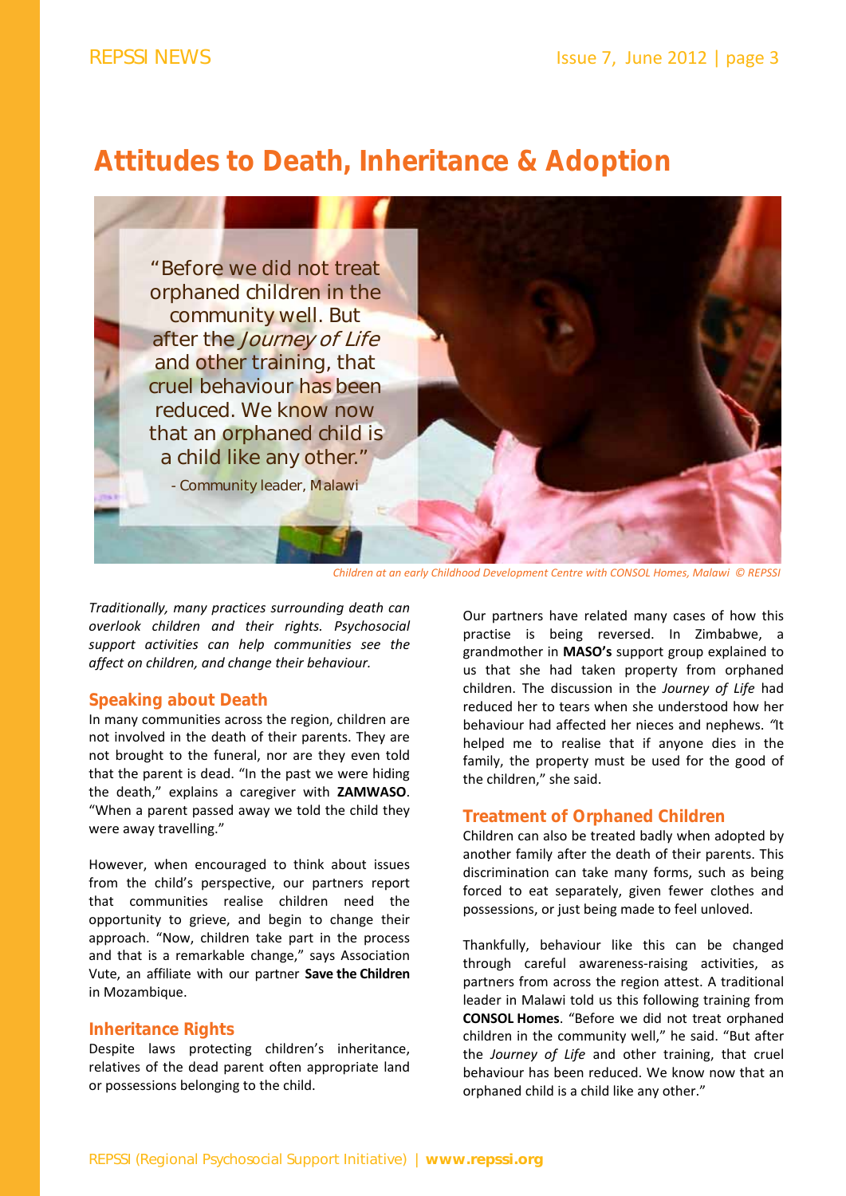### **Attitudes to Death, Inheritance & Adoption**



*Children at an early Childhood Development Centre with CONSOL Homes, Malawi © REPSSI*

*Traditionally, many practices surrounding death can overlook children and their rights. Psychosocial support activities can help communities see the affect on children, and change their behaviour.* 

#### **Speaking about Death**

In many communities across the region, children are not involved in the death of their parents. They are not brought to the funeral, nor are they even told that the parent is dead. "In the past we were hiding the death," explains a caregiver with **ZAMWASO**. "When a parent passed away we told the child they were away travelling."

However, when encouraged to think about issues from the child's perspective, our partners report that communities realise children need the opportunity to grieve, and begin to change their approach. "Now, children take part in the process and that is a remarkable change," says Association Vute, an affiliate with our partner **Save the Children** in Mozambique.

#### **Inheritance Rights**

Despite laws protecting children's inheritance, relatives of the dead parent often appropriate land or possessions belonging to the child.

Our partners have related many cases of how this practise is being reversed. In Zimbabwe, a grandmother in **MASO's** support group explained to us that she had taken property from orphaned children. The discussion in the *Journey of Life* had reduced her to tears when she understood how her behaviour had affected her nieces and nephews. *"*It helped me to realise that if anyone dies in the family, the property must be used for the good of the children," she said.

#### **Treatment of Orphaned Children**

Children can also be treated badly when adopted by another family after the death of their parents. This discrimination can take many forms, such as being forced to eat separately, given fewer clothes and possessions, or just being made to feel unloved.

Thankfully, behaviour like this can be changed through careful awareness‐raising activities, as partners from across the region attest. A traditional leader in Malawi told us this following training from **CONSOL Homes**. "Before we did not treat orphaned children in the community well," he said. "But after the *Journey of Life* and other training, that cruel behaviour has been reduced. We know now that an orphaned child is a child like any other."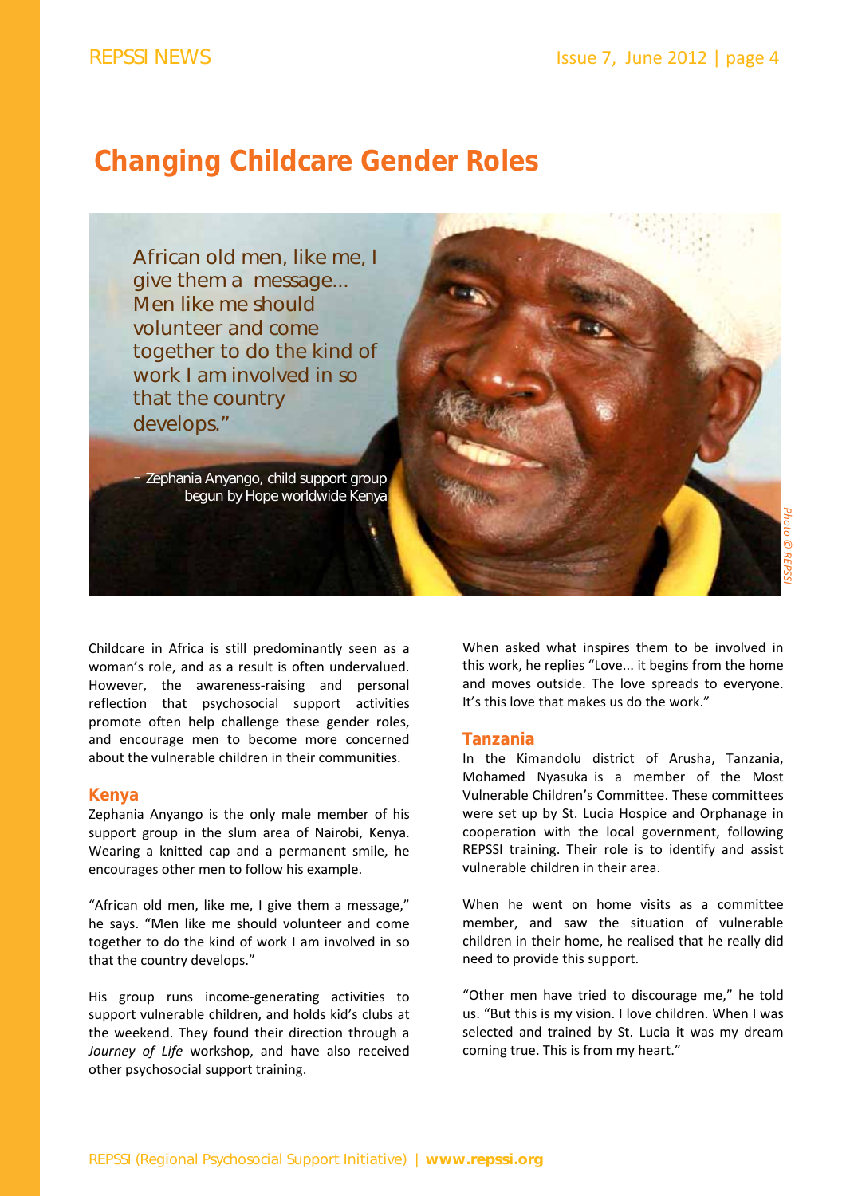### **Changing Childcare Gender Roles**



Childcare in Africa is still predominantly seen as a woman's role, and as a result is often undervalued. However, the awareness-raising and personal reflection that psychosocial support activities promote often help challenge these gender roles, and encourage men to become more concerned about the vulnerable children in their communities.

#### **Kenya**

Zephania Anyango is the only male member of his support group in the slum area of Nairobi, Kenya. Wearing a knitted cap and a permanent smile, he encourages other men to follow his example.

"African old men, like me, I give them a message," he says. "Men like me should volunteer and come together to do the kind of work I am involved in so that the country develops."

His group runs income‐generating activities to support vulnerable children, and holds kid's clubs at the weekend. They found their direction through a *Journey of Life* workshop, and have also received other psychosocial support training.

When asked what inspires them to be involved in this work, he replies "Love... it begins from the home and moves outside. The love spreads to everyone. It's this love that makes us do the work."

#### **Tanzania**

In the Kimandolu district of Arusha, Tanzania, Mohamed Nyasuka is a member of the Most Vulnerable Children's Committee. These committees were set up by St. Lucia Hospice and Orphanage in cooperation with the local government, following REPSSI training. Their role is to identify and assist vulnerable children in their area.

When he went on home visits as a committee member, and saw the situation of vulnerable children in their home, he realised that he really did need to provide this support.

"Other men have tried to discourage me," he told us. "But this is my vision. I love children. When I was selected and trained by St. Lucia it was my dream coming true. This is from my heart."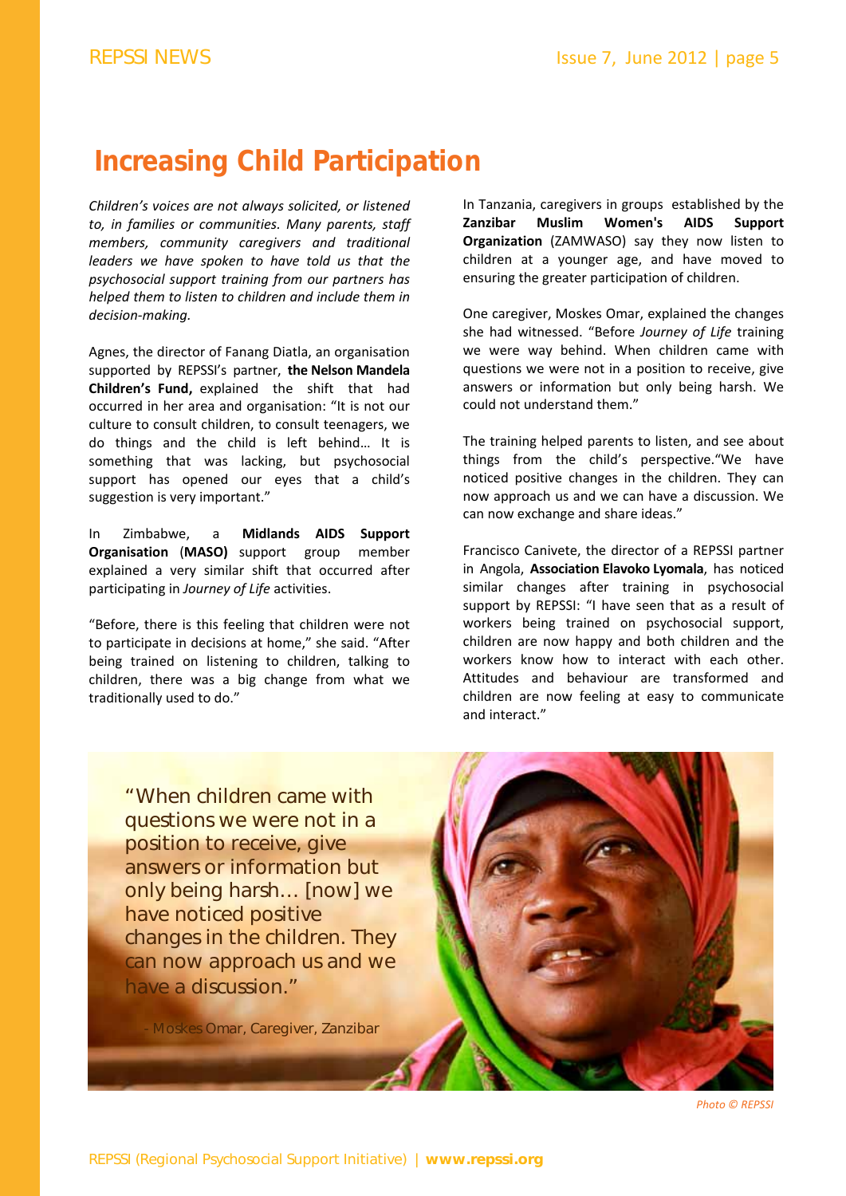## **Increasing Child Participation**

*Children's voices are not always solicited, or listened to, in families or communities. Many parents, staff members, community caregivers and traditional leaders we have spoken to have told us that the psychosocial support training from our partners has helped them to listen to children and include them in decision‐making.* 

Agnes, the director of Fanang Diatla, an organisation supported by REPSSI's partner, **the Nelson Mandela Children's Fund,** explained the shift that had occurred in her area and organisation: "It is not our culture to consult children, to consult teenagers, we do things and the child is left behind… It is something that was lacking, but psychosocial support has opened our eyes that a child's suggestion is very important."

In Zimbabwe, a **Midlands AIDS Support Organisation** (**MASO)** support group member explained a very similar shift that occurred after participating in *Journey of Life* activities.

"Before, there is this feeling that children were not to participate in decisions at home," she said. "After being trained on listening to children, talking to children, there was a big change from what we traditionally used to do."

In Tanzania, caregivers in groups established by the **Zanzibar Muslim Women's AIDS Support Organization** (ZAMWASO) say they now listen to children at a younger age, and have moved to ensuring the greater participation of children.

One caregiver, Moskes Omar, explained the changes she had witnessed. "Before *Journey of Life* training we were way behind. When children came with questions we were not in a position to receive, give answers or information but only being harsh. We could not understand them."

The training helped parents to listen, and see about things from the child's perspective."We have noticed positive changes in the children. They can now approach us and we can have a discussion. We can now exchange and share ideas."

Francisco Canivete, the director of a REPSSI partner in Angola, **Association Elavoko Lyomala**, has noticed similar changes after training in psychosocial support by REPSSI: "I have seen that as a result of workers being trained on psychosocial support, children are now happy and both children and the workers know how to interact with each other. Attitudes and behaviour are transformed and children are now feeling at easy to communicate and interact."

"When children came with questions we were not in a position to receive, give answers or information but only being harsh… [now] we have noticed positive changes in the children. They can now approach us and we have a discussion."

- Moskes Omar, Caregiver, Zanzibar



*Photo © REPSSI*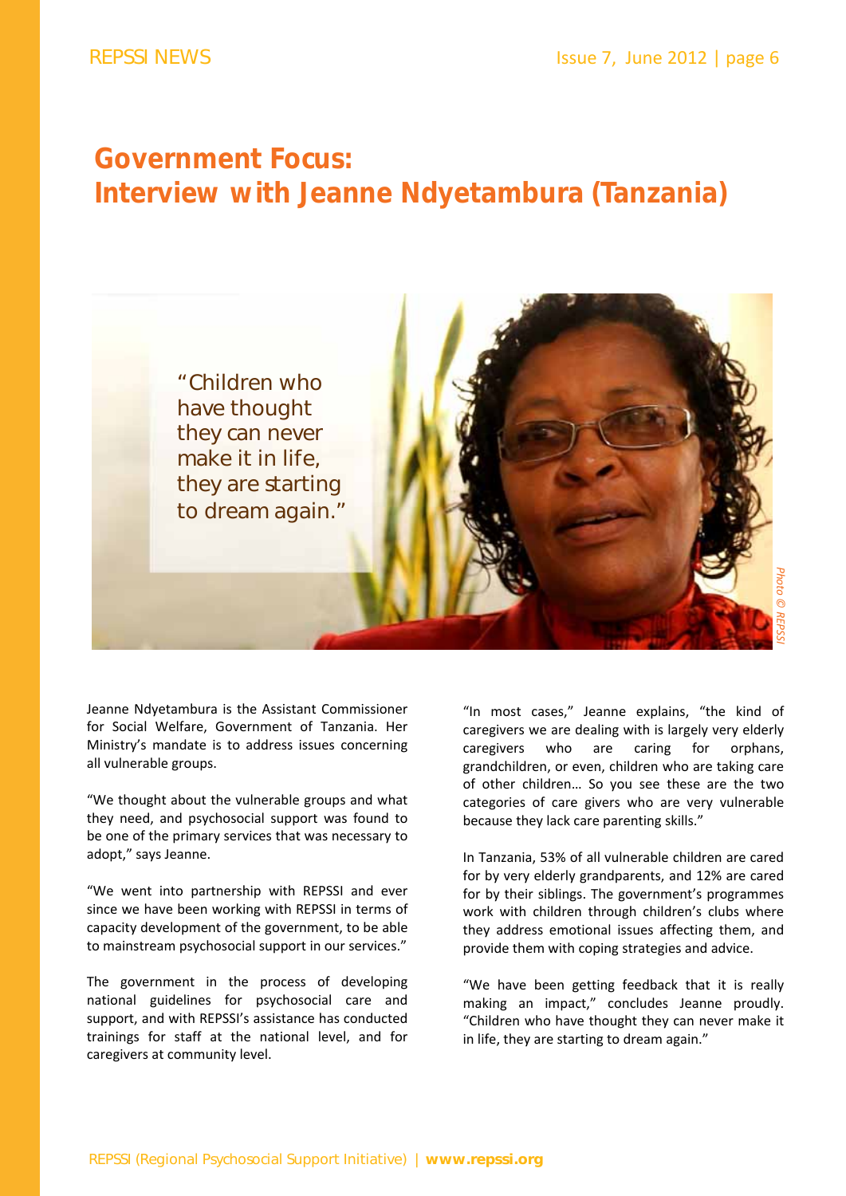### **Government Focus: Interview with Jeanne Ndyetambura (Tanzania)**



Jeanne Ndyetambura is the Assistant Commissioner for Social Welfare, Government of Tanzania. Her Ministry's mandate is to address issues concerning all vulnerable groups.

"We thought about the vulnerable groups and what they need, and psychosocial support was found to be one of the primary services that was necessary to adopt," says Jeanne.

"We went into partnership with REPSSI and ever since we have been working with REPSSI in terms of capacity development of the government, to be able to mainstream psychosocial support in our services."

The government in the process of developing national guidelines for psychosocial care and support, and with REPSSI's assistance has conducted trainings for staff at the national level, and for caregivers at community level.

"In most cases," Jeanne explains, "the kind of caregivers we are dealing with is largely very elderly caregivers who are caring for orphans, grandchildren, or even, children who are taking care of other children… So you see these are the two categories of care givers who are very vulnerable because they lack care parenting skills."

In Tanzania, 53% of all vulnerable children are cared for by very elderly grandparents, and 12% are cared for by their siblings. The government's programmes work with children through children's clubs where they address emotional issues affecting them, and provide them with coping strategies and advice.

"We have been getting feedback that it is really making an impact," concludes Jeanne proudly. "Children who have thought they can never make it in life, they are starting to dream again."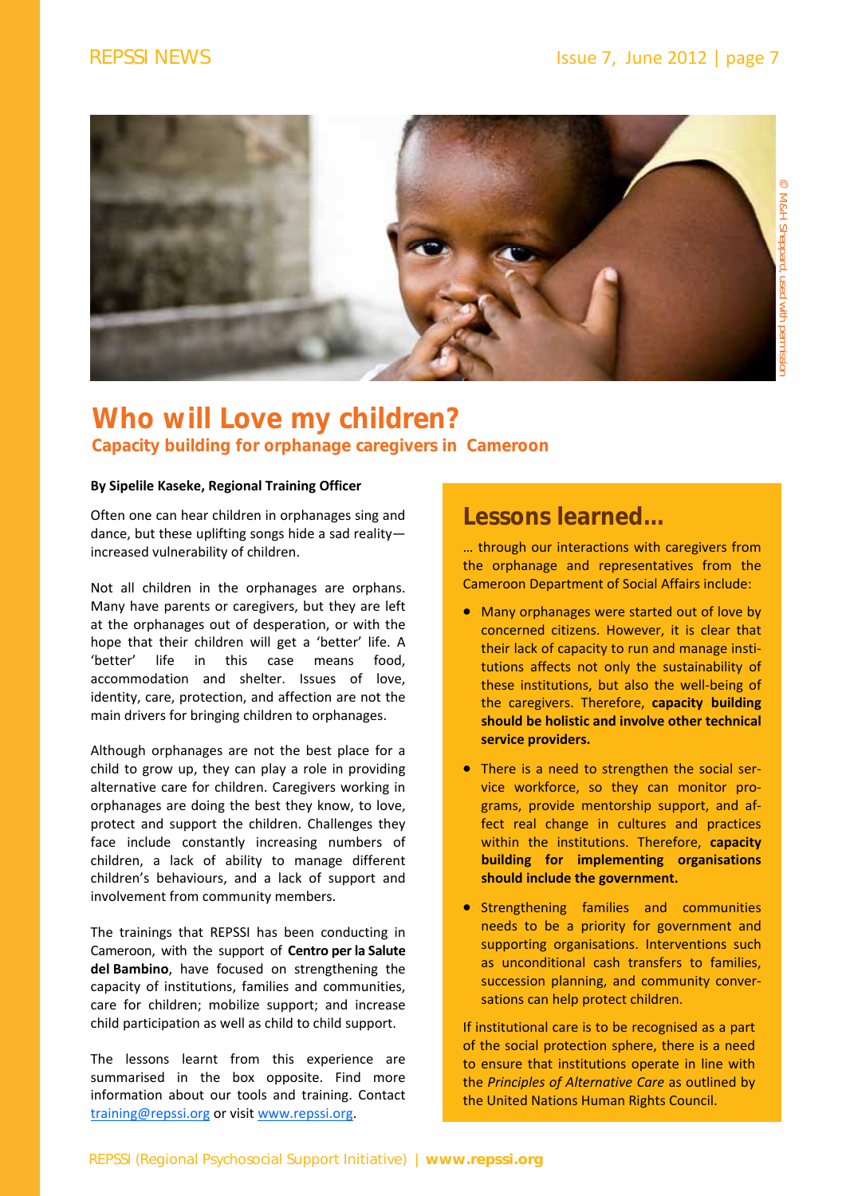

### **Who will Love my children? Capacity building for orphanage caregivers in Cameroon**

#### **By Sipelile Kaseke, Regional Training Officer**

Often one can hear children in orphanages sing and dance, but these uplifting songs hide a sad reality increased vulnerability of children.

Not all children in the orphanages are orphans. Many have parents or caregivers, but they are left at the orphanages out of desperation, or with the hope that their children will get a 'better' life. A 'better' life in this case means food, accommodation and shelter. Issues of love, identity, care, protection, and affection are not the main drivers for bringing children to orphanages.

Although orphanages are not the best place for a child to grow up, they can play a role in providing alternative care for children. Caregivers working in orphanages are doing the best they know, to love, protect and support the children. Challenges they face include constantly increasing numbers of children, a lack of ability to manage different children's behaviours, and a lack of support and involvement from community members.

The trainings that REPSSI has been conducting in Cameroon, with the support of **Centro per la Salute del Bambino**, have focused on strengthening the capacity of institutions, families and communities, care for children; mobilize support; and increase child participation as well as child to child support.

The lessons learnt from this experience are summarised in the box opposite. Find more information about our tools and training. Contact training@repssi.org or visit www.repssi.org.

### **Lessons learned...**

… through our interactions with caregivers from the orphanage and representatives from the Cameroon Department of Social Affairs include:

- Many orphanages were started out of love by concerned citizens. However, it is clear that their lack of capacity to run and manage insti‐ tutions affects not only the sustainability of these institutions, but also the well‐being of the caregivers. Therefore, **capacity building should be holistic and involve other technical service providers.**
- There is a need to strengthen the social service workforce, so they can monitor pro‐ grams, provide mentorship support, and af‐ fect real change in cultures and practices within the institutions. Therefore, **capacity building for implementing organisations should include the government.**
- **•** Strengthening families and communities needs to be a priority for government and supporting organisations. Interventions such as unconditional cash transfers to families, succession planning, and community conver‐ sations can help protect children.

If institutional care is to be recognised as a part of the social protection sphere, there is a need to ensure that institutions operate in line with the *Principles of Alternative Care* as outlined by the United Nations Human Rights Council.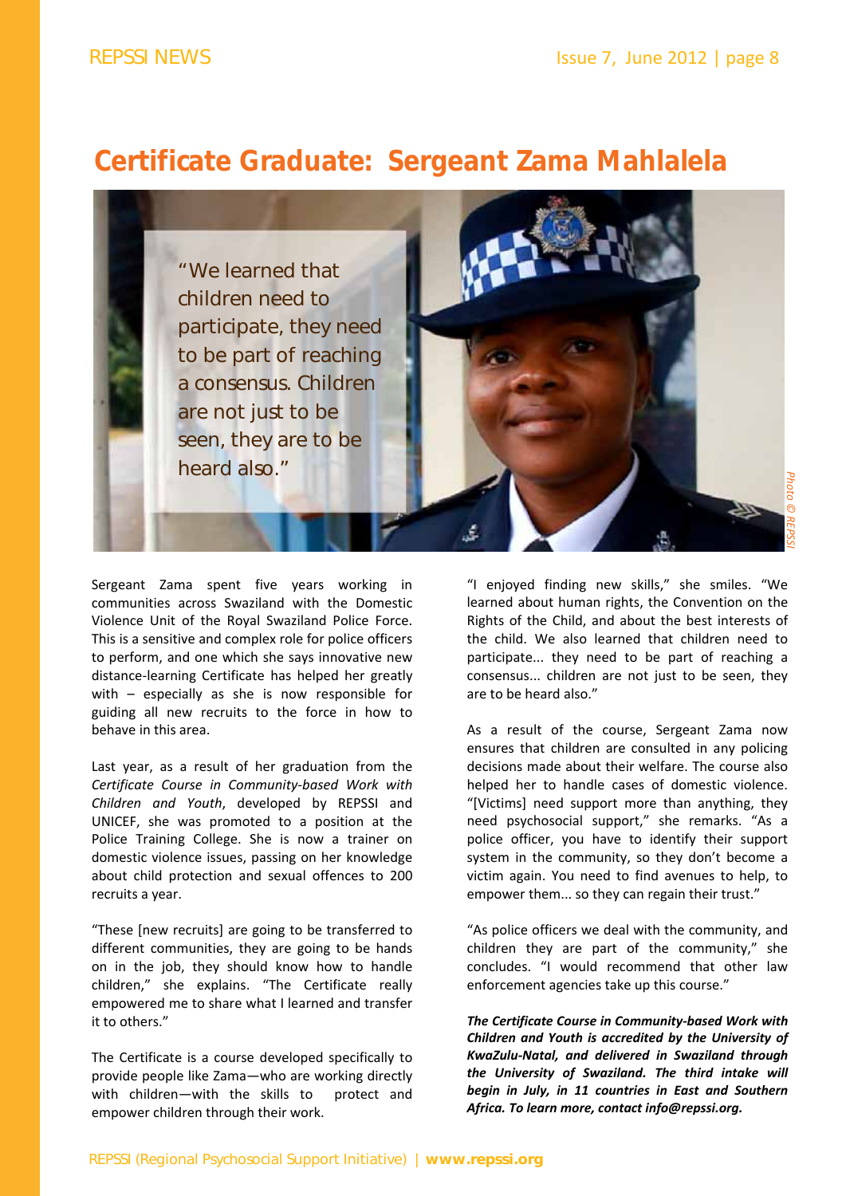### **Certificate Graduate: Sergeant Zama Mahlalela**



Sergeant Zama spent five years working in communities across Swaziland with the Domestic Violence Unit of the Royal Swaziland Police Force. This is a sensitive and complex role for police officers to perform, and one which she says innovative new distance‐learning Certificate has helped her greatly with – especially as she is now responsible for guiding all new recruits to the force in how to behave in this area.

Last year, as a result of her graduation from the *Certificate Course in Community‐based Work with Children and Youth*, developed by REPSSI and UNICEF, she was promoted to a position at the Police Training College. She is now a trainer on domestic violence issues, passing on her knowledge about child protection and sexual offences to 200 recruits a year.

"These [new recruits] are going to be transferred to different communities, they are going to be hands on in the job, they should know how to handle children," she explains. "The Certificate really empowered me to share what I learned and transfer it to others."

The Certificate is a course developed specifically to provide people like Zama—who are working directly with children-with the skills to protect and empower children through their work.

"I enjoyed finding new skills," she smiles. "We learned about human rights, the Convention on the Rights of the Child, and about the best interests of the child. We also learned that children need to participate... they need to be part of reaching a consensus... children are not just to be seen, they are to be heard also."

As a result of the course, Sergeant Zama now ensures that children are consulted in any policing decisions made about their welfare. The course also helped her to handle cases of domestic violence. "[Victims] need support more than anything, they need psychosocial support," she remarks. "As a police officer, you have to identify their support system in the community, so they don't become a victim again. You need to find avenues to help, to empower them... so they can regain their trust."

"As police officers we deal with the community, and children they are part of the community," she concludes. "I would recommend that other law enforcement agencies take up this course."

*The Certificate Course in Community‐based Work with Children and Youth is accredited by the University of KwaZulu‐Natal, and delivered in Swaziland through the University of Swaziland. The third intake will begin in July, in 11 countries in East and Southern Africa. To learn more, contact info@repssi.org.*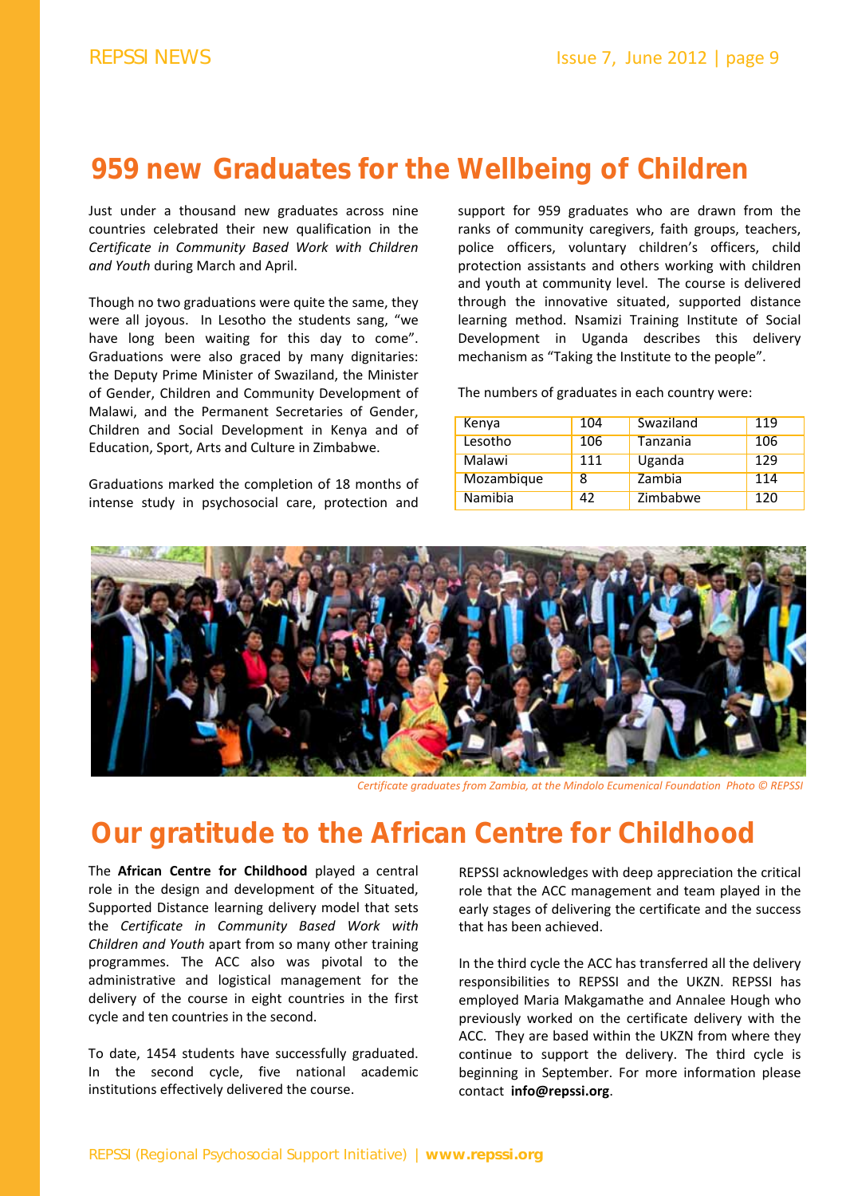### **959 new Graduates for the Wellbeing of Children**

Just under a thousand new graduates across nine countries celebrated their new qualification in the *Certificate in Community Based Work with Children and Youth* during March and April.

Though no two graduations were quite the same, they were all joyous. In Lesotho the students sang, "we have long been waiting for this day to come". Graduations were also graced by many dignitaries: the Deputy Prime Minister of Swaziland, the Minister of Gender, Children and Community Development of Malawi, and the Permanent Secretaries of Gender, Children and Social Development in Kenya and of Education, Sport, Arts and Culture in Zimbabwe.

Graduations marked the completion of 18 months of intense study in psychosocial care, protection and

support for 959 graduates who are drawn from the ranks of community caregivers, faith groups, teachers, police officers, voluntary children's officers, child protection assistants and others working with children and youth at community level. The course is delivered through the innovative situated, supported distance learning method. Nsamizi Training Institute of Social Development in Uganda describes this delivery mechanism as "Taking the Institute to the people".

The numbers of graduates in each country were:

| Kenya      | 104 | Swaziland | 119 |
|------------|-----|-----------|-----|
| Lesotho    | 106 | Tanzania  | 106 |
| Malawi     | 111 | Uganda    | 129 |
| Mozambique | 8   | Zambia    | 114 |
| Namibia    | 42  | Zimbabwe  | 120 |



*Certificate graduates from Zambia, at the Mindolo Ecumenical Foundation Photo © REPSSI*

### **Our gratitude to the African Centre for Childhood**

The **African Centre for Childhood** played a central role in the design and development of the Situated, Supported Distance learning delivery model that sets the *Certificate in Community Based Work with Children and Youth* apart from so many other training programmes. The ACC also was pivotal to the administrative and logistical management for the delivery of the course in eight countries in the first cycle and ten countries in the second.

To date, 1454 students have successfully graduated. In the second cycle, five national academic institutions effectively delivered the course.

REPSSI acknowledges with deep appreciation the critical role that the ACC management and team played in the early stages of delivering the certificate and the success that has been achieved.

In the third cycle the ACC has transferred all the delivery responsibilities to REPSSI and the UKZN. REPSSI has employed Maria Makgamathe and Annalee Hough who previously worked on the certificate delivery with the ACC. They are based within the UKZN from where they continue to support the delivery. The third cycle is beginning in September. For more information please contact **info@repssi.org**.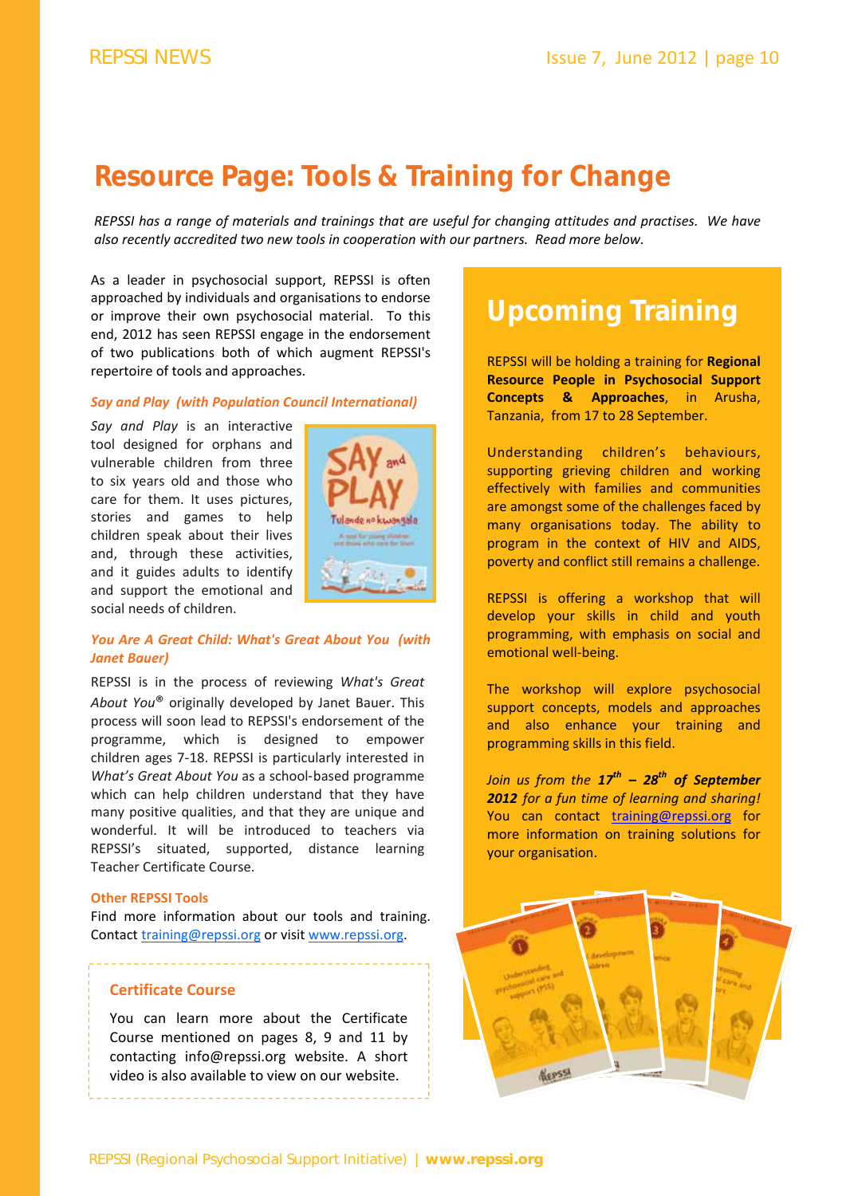### **Resource Page: Tools & Training for Change**

REPSSI has a range of materials and trainings that are useful for changing attitudes and practises. We have *also recently accredited two new tools in cooperation with our partners. Read more below.* 

As a leader in psychosocial support, REPSSI is often approached by individuals and organisations to endorse or improve their own psychosocial material. To this end, 2012 has seen REPSSI engage in the endorsement of two publications both of which augment REPSSI's repertoire of tools and approaches.

#### *Say and Play (with Population Council International)*

*Say and Play* is an interactive tool designed for orphans and vulnerable children from three to six years old and those who care for them. It uses pictures, stories and games to help children speak about their lives and, through these activities, and it guides adults to identify and support the emotional and social needs of children.



#### *You Are A Great Child: What's Great About You (with Janet Bauer)*

REPSSI is in the process of reviewing *What's Great About You*® originally developed by Janet Bauer. This process will soon lead to REPSSI's endorsement of the programme, which is designed to empower children ages 7‐18. REPSSI is particularly interested in *What's Great About You* as a school‐based programme which can help children understand that they have many positive qualities, and that they are unique and wonderful. It will be introduced to teachers via REPSSI's situated, supported, distance learning Teacher Certificate Course.

#### **Other REPSSI Tools**

Find more information about our tools and training. Contact training@repssi.org or visit www.repssi.org.

#### **Certificate Course**

You can learn more about the Certificate Course mentioned on pages 8, 9 and 11 by contacting info@repssi.org website. A short video is also available to view on our website.

# **Upcoming Training**

REPSSI will be holding a training for **Regional Resource People in Psychosocial Support Concepts & Approaches**, in Arusha, Tanzania, from 17 to 28 September.

Understanding children's behaviours, supporting grieving children and working effectively with families and communities are amongst some of the challenges faced by many organisations today. The ability to program in the context of HIV and AIDS, poverty and conflict still remains a challenge.

REPSSI is offering a workshop that will develop your skills in child and youth programming, with emphasis on social and emotional well-being.

The workshop will explore psychosocial support concepts, models and approaches and also enhance your training and programming skills in this field.

*Join us from the 17th – 28th of September 2012 for a fun time of learning and sharing!*  You can contact training@repssi.org for more information on training solutions for your organisation.

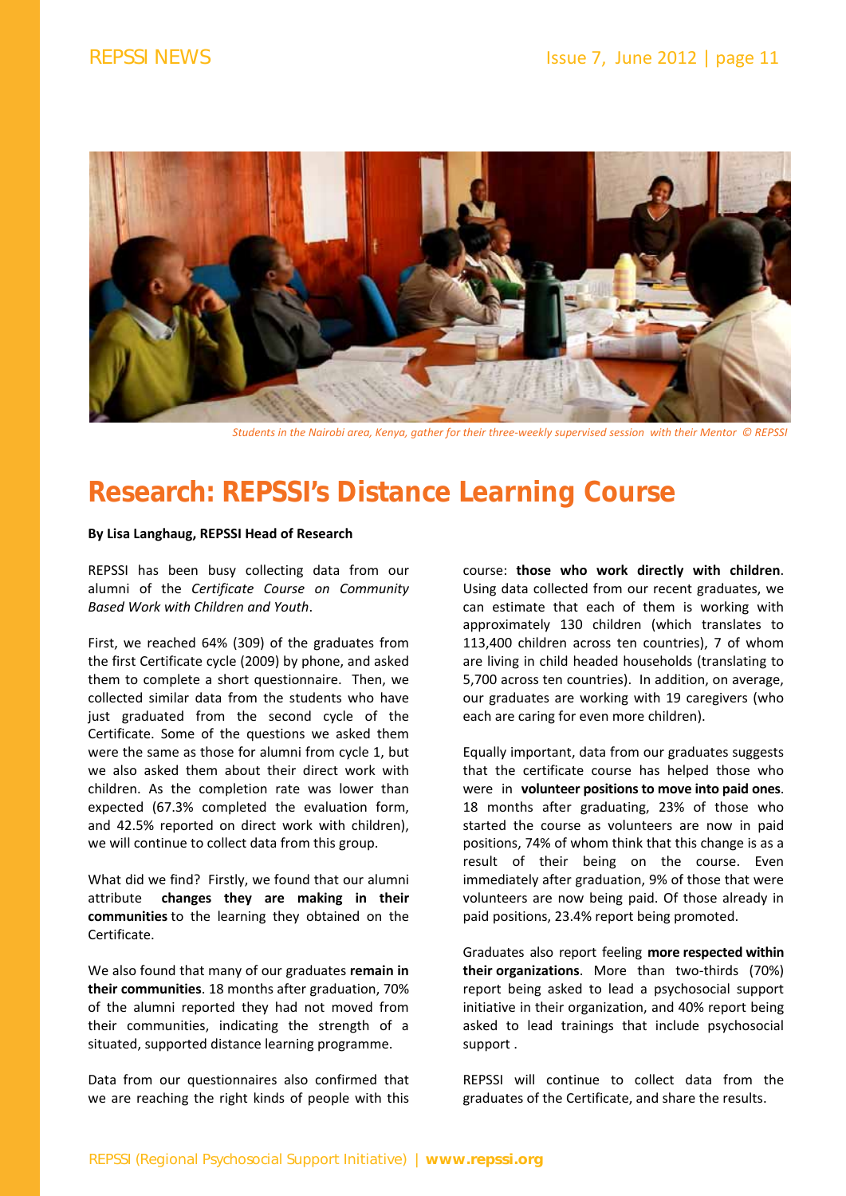

Students in the Nairobi area, Kenya, gather for their three-weekly supervised session with their Mentor © REPSSI

## **Research: REPSSI's Distance Learning Course**

#### **By Lisa Langhaug, REPSSI Head of Research**

REPSSI has been busy collecting data from our alumni of the *Certificate Course on Community Based Work with Children and Youth*.

First, we reached 64% (309) of the graduates from the first Certificate cycle (2009) by phone, and asked them to complete a short questionnaire. Then, we collected similar data from the students who have just graduated from the second cycle of the Certificate. Some of the questions we asked them were the same as those for alumni from cycle 1, but we also asked them about their direct work with children. As the completion rate was lower than expected (67.3% completed the evaluation form, and 42.5% reported on direct work with children), we will continue to collect data from this group.

What did we find? Firstly, we found that our alumni attribute **changes they are making in their communities** to the learning they obtained on the Certificate.

We also found that many of our graduates **remain in their communities**. 18 months after graduation, 70% of the alumni reported they had not moved from their communities, indicating the strength of a situated, supported distance learning programme.

Data from our questionnaires also confirmed that we are reaching the right kinds of people with this course: **those who work directly with children**. Using data collected from our recent graduates, we can estimate that each of them is working with approximately 130 children (which translates to 113,400 children across ten countries), 7 of whom are living in child headed households (translating to 5,700 across ten countries). In addition, on average, our graduates are working with 19 caregivers (who each are caring for even more children).

Equally important, data from our graduates suggests that the certificate course has helped those who were in **volunteer positions to move into paid ones**. 18 months after graduating, 23% of those who started the course as volunteers are now in paid positions, 74% of whom think that this change is as a result of their being on the course. Even immediately after graduation, 9% of those that were volunteers are now being paid. Of those already in paid positions, 23.4% report being promoted.

Graduates also report feeling **more respected within their organizations**. More than two‐thirds (70%) report being asked to lead a psychosocial support initiative in their organization, and 40% report being asked to lead trainings that include psychosocial support .

REPSSI will continue to collect data from the graduates of the Certificate, and share the results.